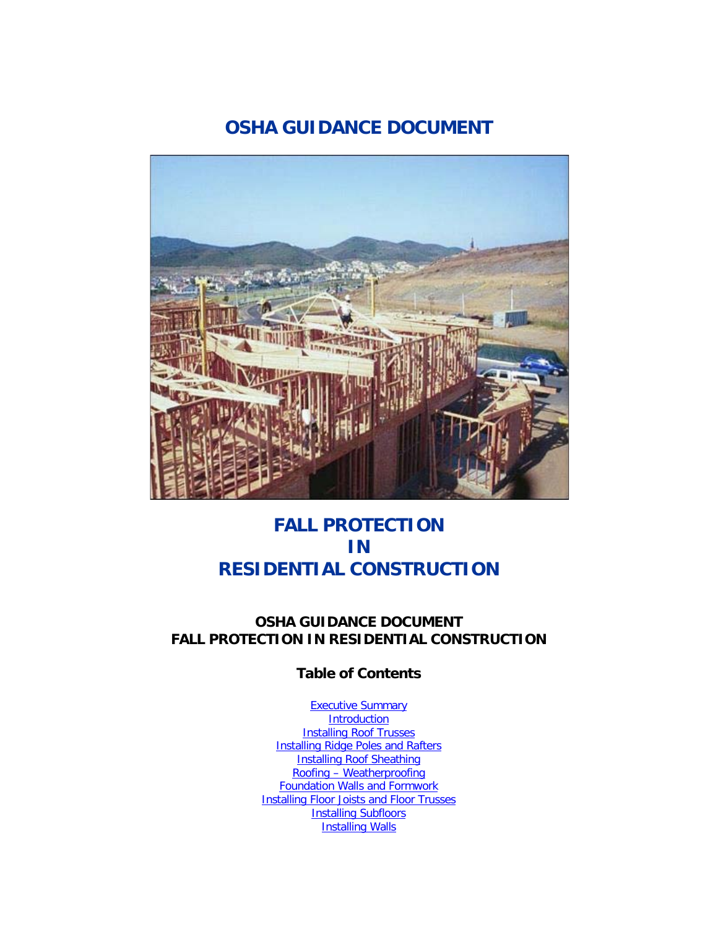# **OSHA GUIDANCE DOCUMENT**



# **FALL PROTECTION IN RESIDENTIAL CONSTRUCTION**

## **OSHA GUIDANCE DOCUMENT FALL PROTECTION IN RESIDENTIAL CONSTRUCTION**

## **Table of Contents**

**[Executive Summary](http://www.osha.gov/doc/guidance.html#summary) [Introduction](http://www.osha.gov/doc/guidance.html#introduction) [Installing Roof Trusses](http://www.osha.gov/doc/guidance.html#trusses)** [Installing Ridge Poles and Rafters](http://www.osha.gov/doc/guidance.html#rafters) **[Installing Roof Sheathing](http://www.osha.gov/doc/guidance.html#sheathing)** Roofing – [Weatherproofing](http://www.osha.gov/doc/guidance.html#weatherproofing) [Foundation Walls and Formwork](http://www.osha.gov/doc/guidance.html#foundation) **[Installing Floor Joists and Floor Trusses](http://www.osha.gov/doc/guidance.html#floor_joists)** [Installing Subfloors](http://www.osha.gov/doc/guidance.html#subfloors) [Installing Walls](http://www.osha.gov/doc/guidance.html#walls)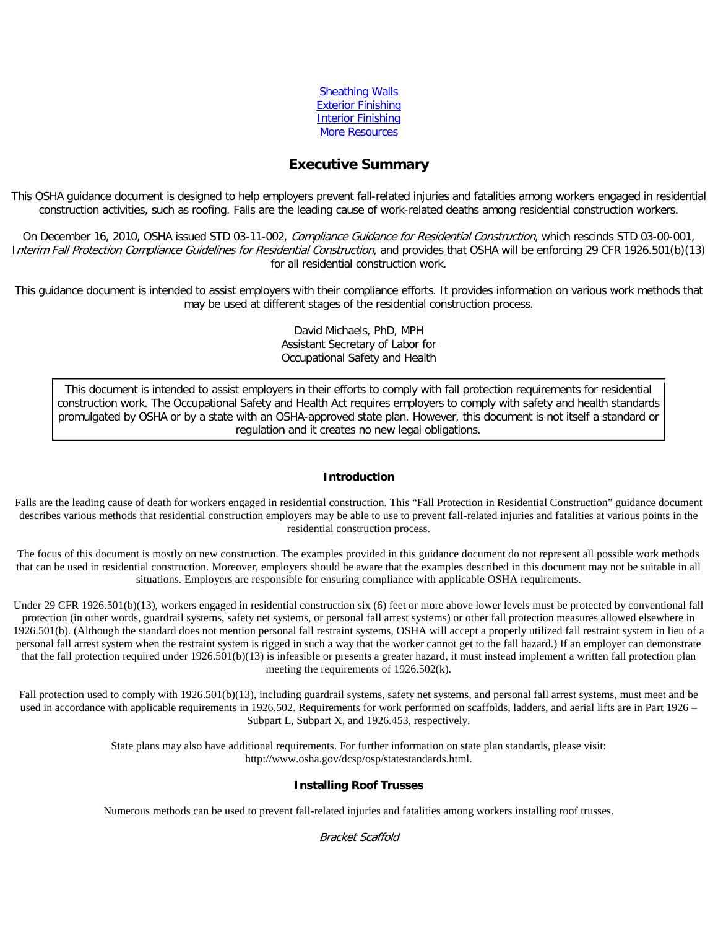| <b>Sheathing Walls</b>    |
|---------------------------|
| <b>Exterior Finishing</b> |
| <b>Interior Finishing</b> |
| <b>More Resources</b>     |

### **Executive Summary**

This OSHA guidance document is designed to help employers prevent fall-related injuries and fatalities among workers engaged in residential construction activities, such as roofing. Falls are the leading cause of work-related deaths among residential construction workers.

On December 16, 2010, OSHA issued STD 03-11-002, Compliance Guidance for Residential Construction, which rescinds STD 03-00-001, Interim Fall Protection Compliance Guidelines for Residential Construction, and provides that OSHA will be enforcing 29 CFR 1926.501(b)(13) for all residential construction work.

This guidance document is intended to assist employers with their compliance efforts. It provides information on various work methods that may be used at different stages of the residential construction process.

> David Michaels, PhD, MPH Assistant Secretary of Labor for Occupational Safety and Health

This document is intended to assist employers in their efforts to comply with fall protection requirements for residential construction work. The Occupational Safety and Health Act requires employers to comply with safety and health standards promulgated by OSHA or by a state with an OSHA-approved state plan. However, this document is not itself a standard or regulation and it creates no new legal obligations.

#### **Introduction**

Falls are the leading cause of death for workers engaged in residential construction. This "Fall Protection in Residential Construction" guidance document describes various methods that residential construction employers may be able to use to prevent fall-related injuries and fatalities at various points in the residential construction process.

The focus of this document is mostly on new construction. The examples provided in this guidance document do not represent all possible work methods that can be used in residential construction. Moreover, employers should be aware that the examples described in this document may not be suitable in all situations. Employers are responsible for ensuring compliance with applicable OSHA requirements.

Under 29 CFR 1926.501(b)(13), workers engaged in residential construction six (6) feet or more above lower levels must be protected by conventional fall protection (in other words, guardrail systems, safety net systems, or personal fall arrest systems) or other fall protection measures allowed elsewhere in 1926.501(b). (Although the standard does not mention personal fall restraint systems, OSHA will accept a properly utilized fall restraint system in lieu of a personal fall arrest system when the restraint system is rigged in such a way that the worker cannot get to the fall hazard.) If an employer can demonstrate that the fall protection required under 1926.501(b)(13) is infeasible or presents a greater hazard, it must instead implement a written fall protection plan meeting the requirements of 1926.502(k).

Fall protection used to comply with 1926.501(b)(13), including guardrail systems, safety net systems, and personal fall arrest systems, must meet and be used in accordance with applicable requirements in 1926.502. Requirements for work performed on scaffolds, ladders, and aerial lifts are in Part 1926 – Subpart L, Subpart X, and 1926.453, respectively.

> State plans may also have additional requirements. For further information on state plan standards, please visit: http://www.osha.gov/dcsp/osp/statestandards.html.

#### **Installing Roof Trusses**

Numerous methods can be used to prevent fall-related injuries and fatalities among workers installing roof trusses.

#### Bracket Scaffold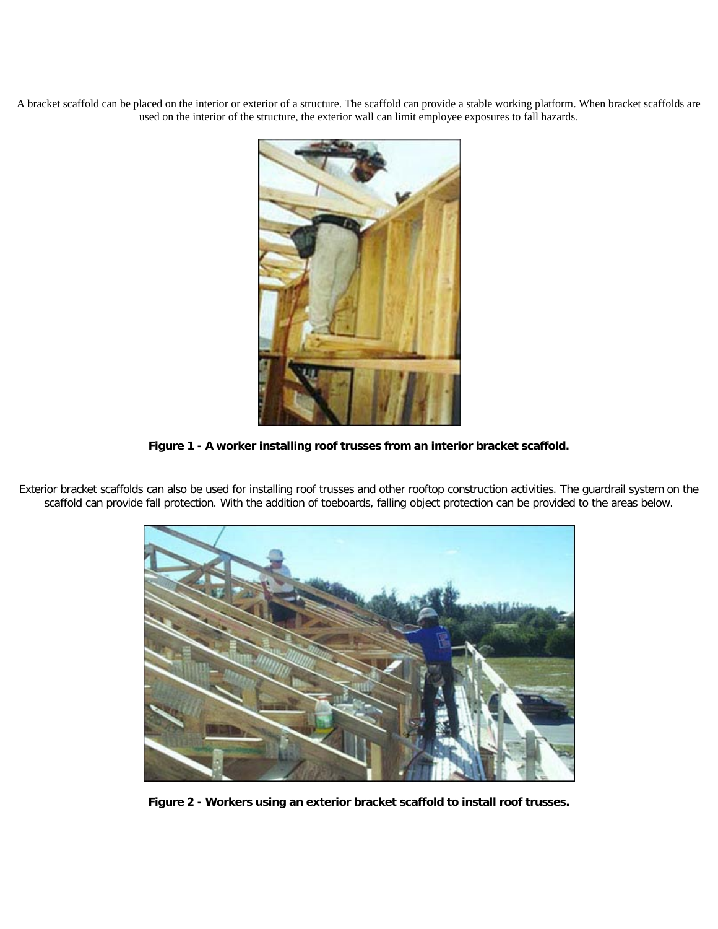A bracket scaffold can be placed on the interior or exterior of a structure. The scaffold can provide a stable working platform. When bracket scaffolds are used on the interior of the structure, the exterior wall can limit employee exposures to fall hazards.



**Figure 1 - A worker installing roof trusses from an interior bracket scaffold.**

Exterior bracket scaffolds can also be used for installing roof trusses and other rooftop construction activities. The guardrail system on the scaffold can provide fall protection. With the addition of toeboards, falling object protection can be provided to the areas below.



**Figure 2 - Workers using an exterior bracket scaffold to install roof trusses.**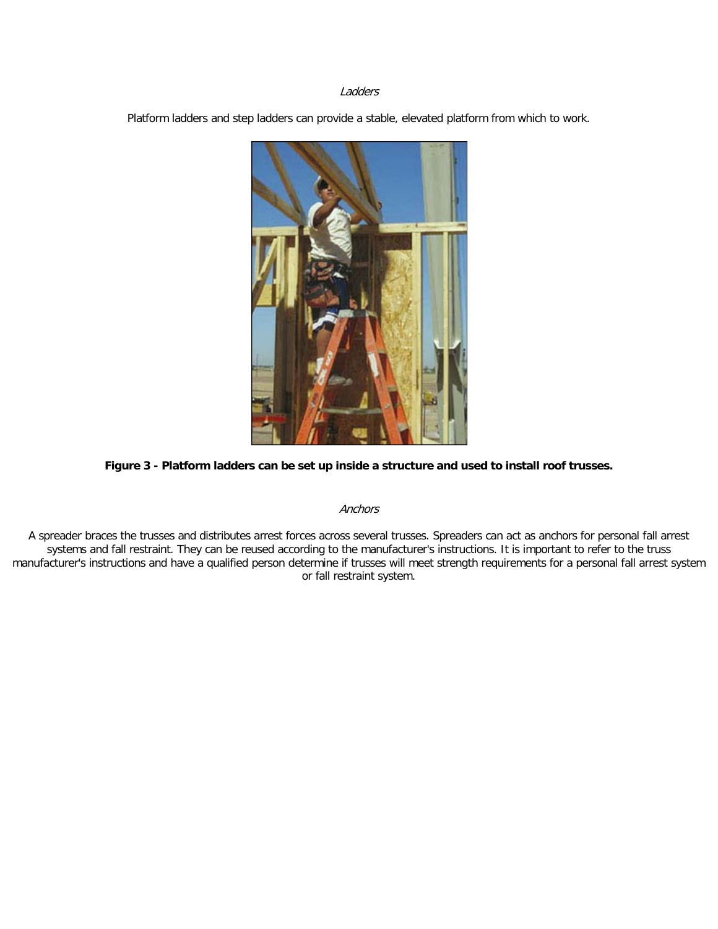#### Ladders

Platform ladders and step ladders can provide a stable, elevated platform from which to work.



#### **Figure 3 - Platform ladders can be set up inside a structure and used to install roof trusses.**

#### Anchors

A spreader braces the trusses and distributes arrest forces across several trusses. Spreaders can act as anchors for personal fall arrest systems and fall restraint. They can be reused according to the manufacturer's instructions. It is important to refer to the truss manufacturer's instructions and have a qualified person determine if trusses will meet strength requirements for a personal fall arrest system or fall restraint system.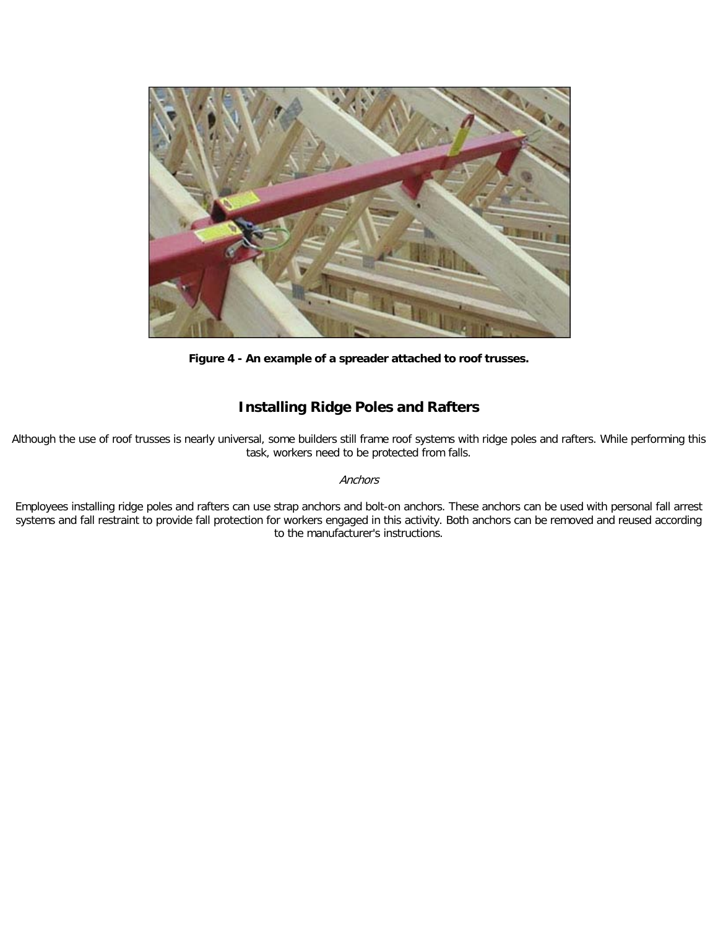![](_page_4_Picture_0.jpeg)

**Figure 4 - An example of a spreader attached to roof trusses.**

# **Installing Ridge Poles and Rafters**

Although the use of roof trusses is nearly universal, some builders still frame roof systems with ridge poles and rafters. While performing this task, workers need to be protected from falls.

#### **Anchors**

Employees installing ridge poles and rafters can use strap anchors and bolt-on anchors. These anchors can be used with personal fall arrest systems and fall restraint to provide fall protection for workers engaged in this activity. Both anchors can be removed and reused according to the manufacturer's instructions.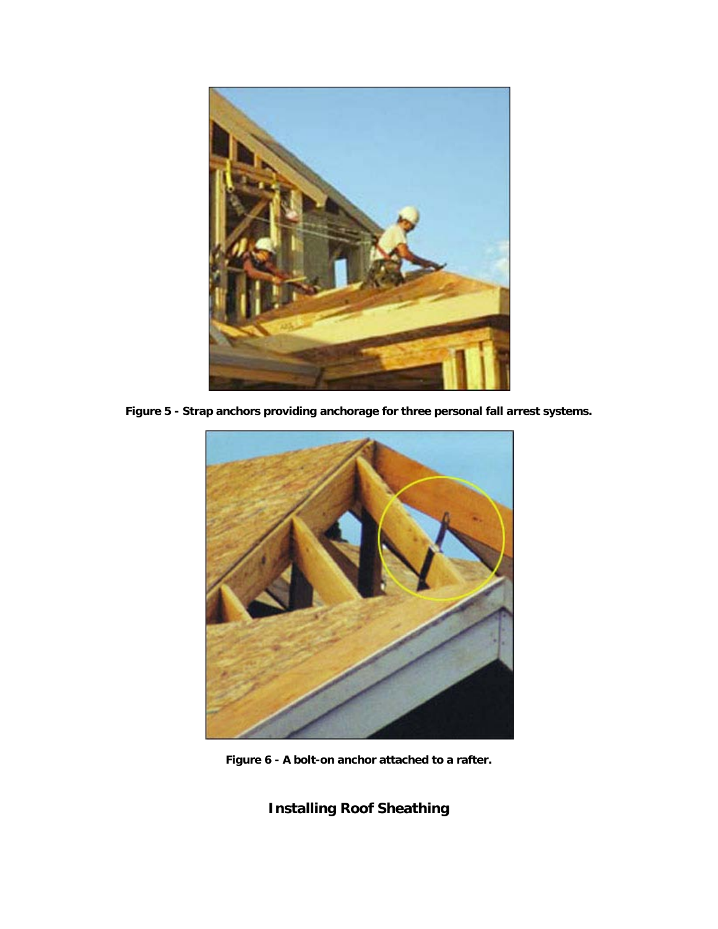![](_page_5_Picture_0.jpeg)

**Figure 5 - Strap anchors providing anchorage for three personal fall arrest systems.**

![](_page_5_Picture_2.jpeg)

**Figure 6 - A bolt-on anchor attached to a rafter.**

**Installing Roof Sheathing**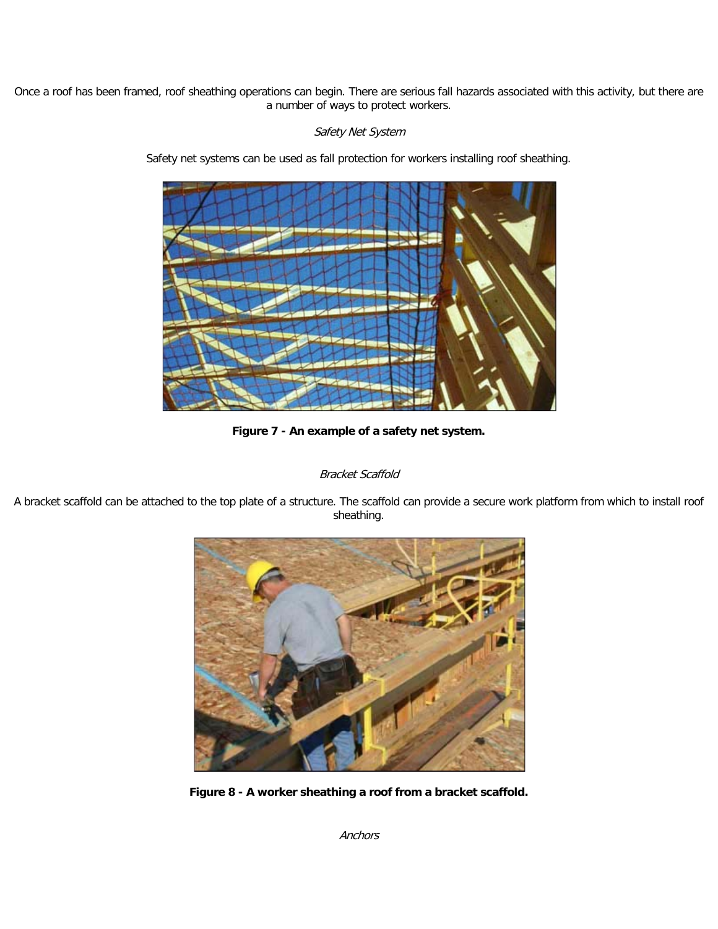Once a roof has been framed, roof sheathing operations can begin. There are serious fall hazards associated with this activity, but there are a number of ways to protect workers.

### Safety Net System

Safety net systems can be used as fall protection for workers installing roof sheathing.

![](_page_6_Picture_3.jpeg)

**Figure 7 - An example of a safety net system.**

### Bracket Scaffold

A bracket scaffold can be attached to the top plate of a structure. The scaffold can provide a secure work platform from which to install roof sheathing.

![](_page_6_Picture_7.jpeg)

**Figure 8 - A worker sheathing a roof from a bracket scaffold.**

Anchors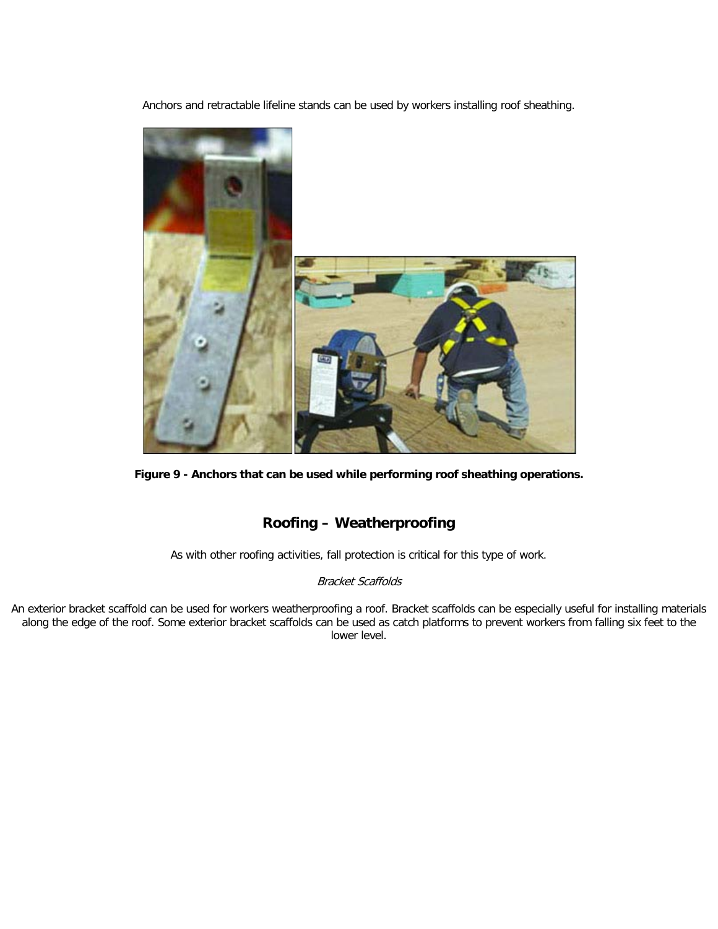Anchors and retractable lifeline stands can be used by workers installing roof sheathing.

![](_page_7_Picture_1.jpeg)

**Figure 9 - Anchors that can be used while performing roof sheathing operations.**

## **Roofing – Weatherproofing**

As with other roofing activities, fall protection is critical for this type of work.

### Bracket Scaffolds

An exterior bracket scaffold can be used for workers weatherproofing a roof. Bracket scaffolds can be especially useful for installing materials along the edge of the roof. Some exterior bracket scaffolds can be used as catch platforms to prevent workers from falling six feet to the lower level.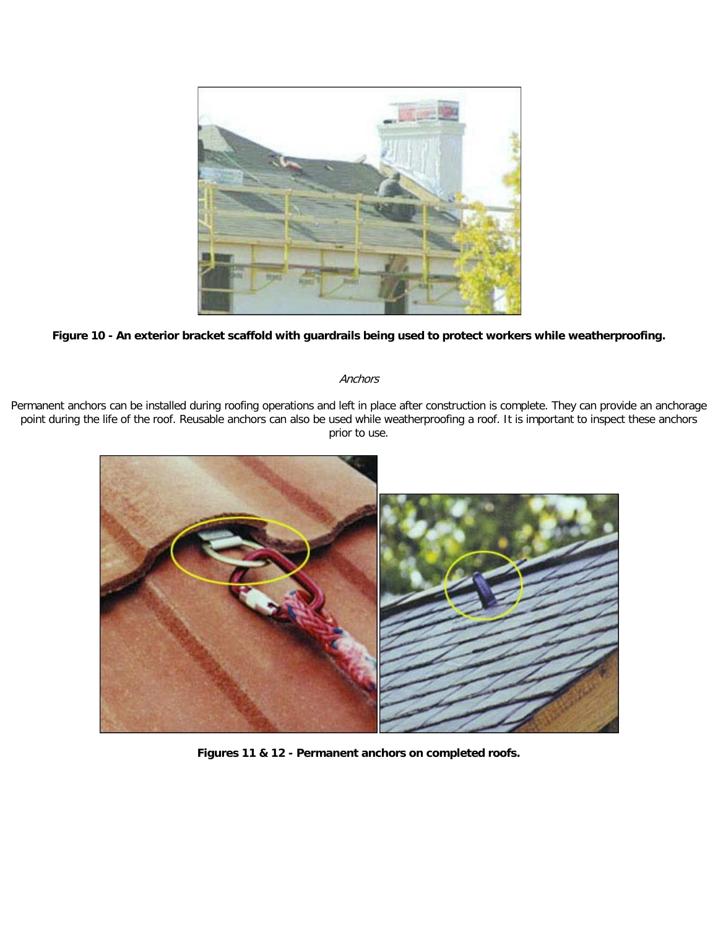![](_page_8_Picture_0.jpeg)

### **Figure 10 - An exterior bracket scaffold with guardrails being used to protect workers while weatherproofing.**

#### **Anchors**

Permanent anchors can be installed during roofing operations and left in place after construction is complete. They can provide an anchorage point during the life of the roof. Reusable anchors can also be used while weatherproofing a roof. It is important to inspect these anchors prior to use.

![](_page_8_Picture_4.jpeg)

**Figures 11 & 12 - Permanent anchors on completed roofs.**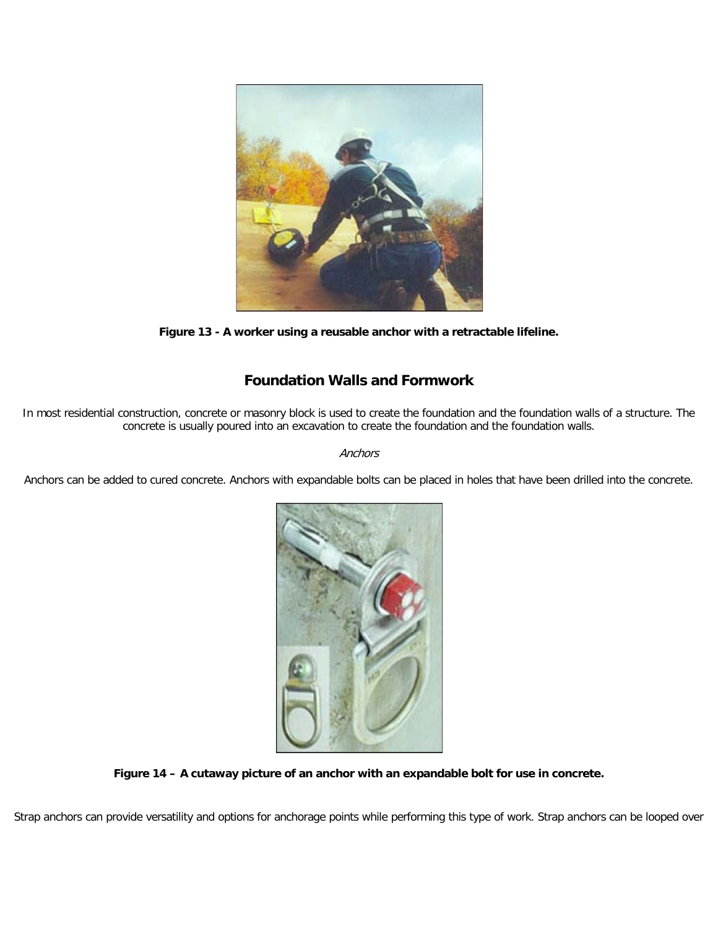![](_page_9_Picture_0.jpeg)

**Figure 13 - A worker using a reusable anchor with a retractable lifeline.**

# **Foundation Walls and Formwork**

In most residential construction, concrete or masonry block is used to create the foundation and the foundation walls of a structure. The concrete is usually poured into an excavation to create the foundation and the foundation walls.

**Anchors** 

Anchors can be added to cured concrete. Anchors with expandable bolts can be placed in holes that have been drilled into the concrete.

![](_page_9_Picture_6.jpeg)

**Figure 14 – A cutaway picture of an anchor with an expandable bolt for use in concrete.**

Strap anchors can provide versatility and options for anchorage points while performing this type of work. Strap anchors can be looped over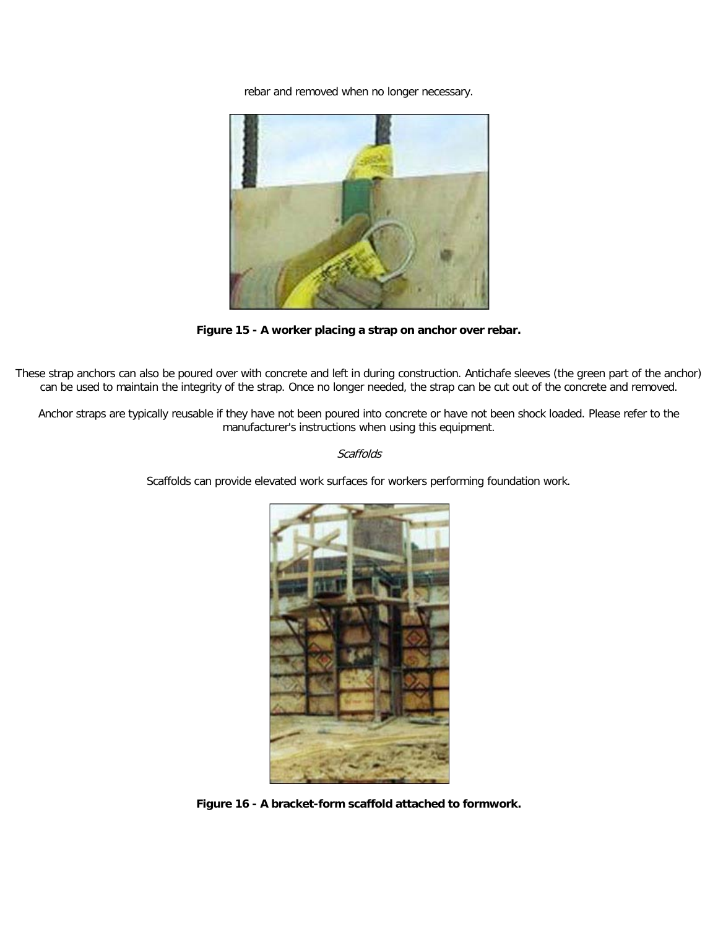rebar and removed when no longer necessary.

![](_page_10_Picture_1.jpeg)

**Figure 15 - A worker placing a strap on anchor over rebar.**

These strap anchors can also be poured over with concrete and left in during construction. Antichafe sleeves (the green part of the anchor) can be used to maintain the integrity of the strap. Once no longer needed, the strap can be cut out of the concrete and removed.

Anchor straps are typically reusable if they have not been poured into concrete or have not been shock loaded. Please refer to the manufacturer's instructions when using this equipment.

#### **Scaffolds**

Scaffolds can provide elevated work surfaces for workers performing foundation work.

![](_page_10_Picture_7.jpeg)

**Figure 16 - A bracket-form scaffold attached to formwork.**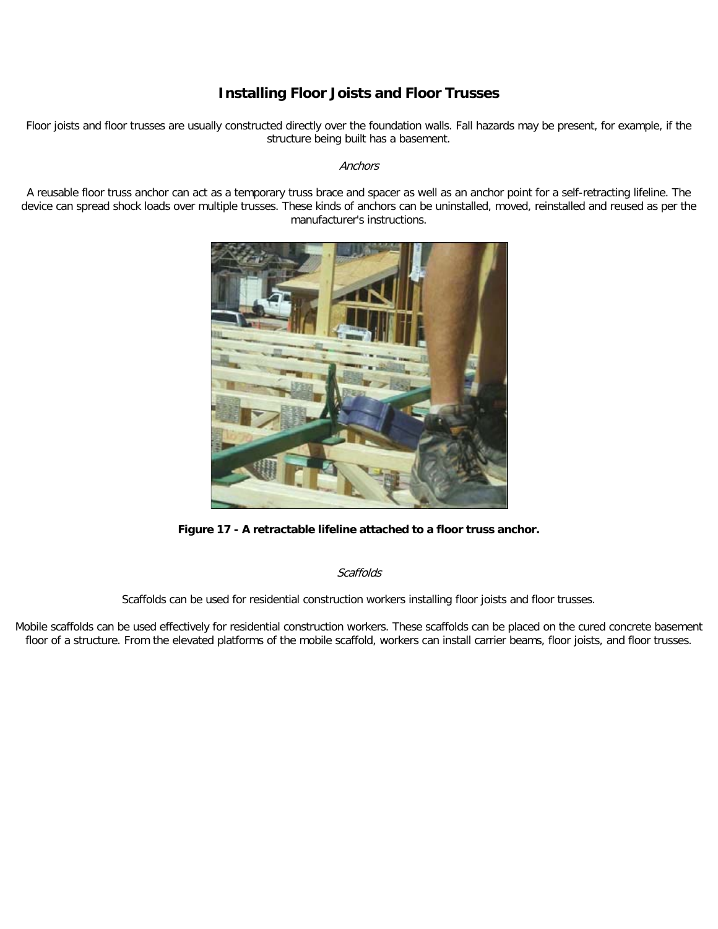## **Installing Floor Joists and Floor Trusses**

Floor joists and floor trusses are usually constructed directly over the foundation walls. Fall hazards may be present, for example, if the structure being built has a basement.

#### **Anchors**

A reusable floor truss anchor can act as a temporary truss brace and spacer as well as an anchor point for a self-retracting lifeline. The device can spread shock loads over multiple trusses. These kinds of anchors can be uninstalled, moved, reinstalled and reused as per the manufacturer's instructions.

![](_page_11_Picture_4.jpeg)

**Figure 17 - A retractable lifeline attached to a floor truss anchor.**

**Scaffolds** 

Scaffolds can be used for residential construction workers installing floor joists and floor trusses.

Mobile scaffolds can be used effectively for residential construction workers. These scaffolds can be placed on the cured concrete basement floor of a structure. From the elevated platforms of the mobile scaffold, workers can install carrier beams, floor joists, and floor trusses.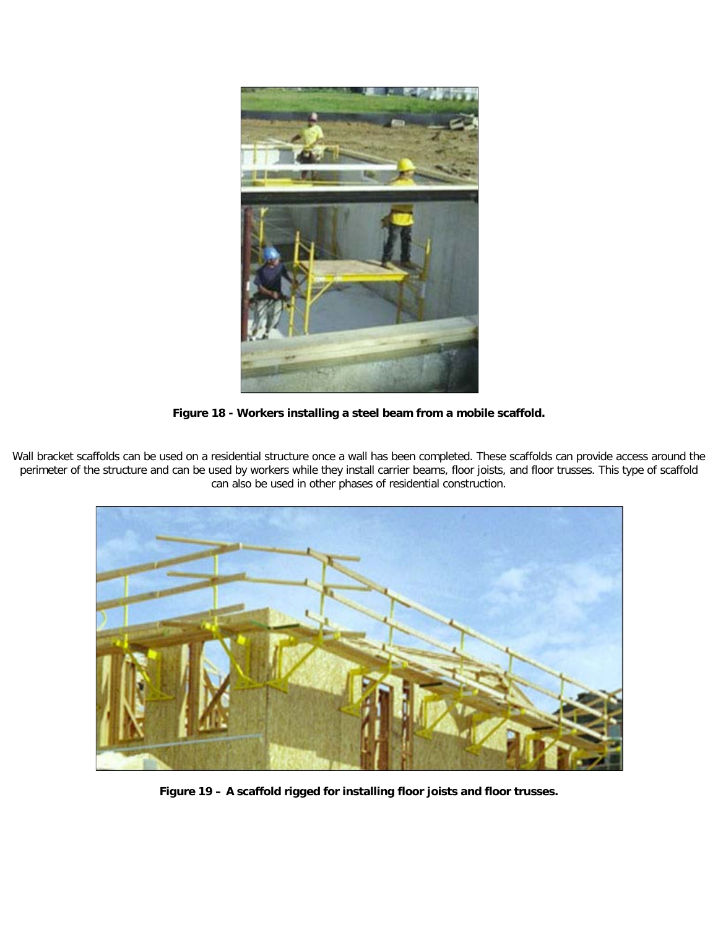![](_page_12_Picture_0.jpeg)

**Figure 18 - Workers installing a steel beam from a mobile scaffold.**

Wall bracket scaffolds can be used on a residential structure once a wall has been completed. These scaffolds can provide access around the perimeter of the structure and can be used by workers while they install carrier beams, floor joists, and floor trusses. This type of scaffold can also be used in other phases of residential construction.

![](_page_12_Picture_3.jpeg)

**Figure 19 – A scaffold rigged for installing floor joists and floor trusses.**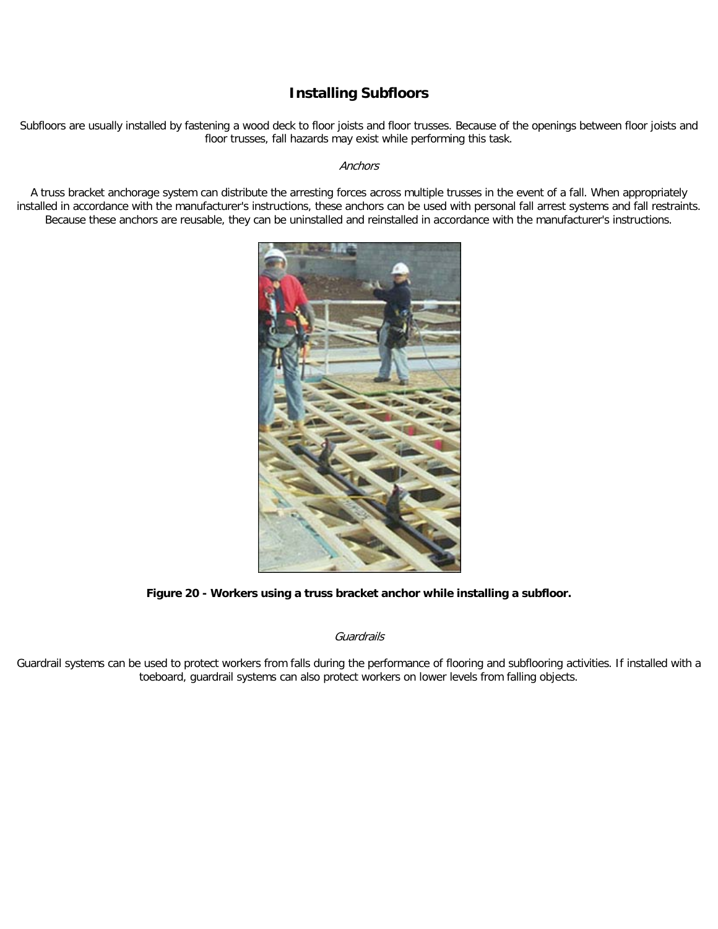### **Installing Subfloors**

Subfloors are usually installed by fastening a wood deck to floor joists and floor trusses. Because of the openings between floor joists and floor trusses, fall hazards may exist while performing this task.

#### **Anchors**

A truss bracket anchorage system can distribute the arresting forces across multiple trusses in the event of a fall. When appropriately installed in accordance with the manufacturer's instructions, these anchors can be used with personal fall arrest systems and fall restraints. Because these anchors are reusable, they can be uninstalled and reinstalled in accordance with the manufacturer's instructions.

![](_page_13_Picture_4.jpeg)

**Figure 20 - Workers using a truss bracket anchor while installing a subfloor.**

**Guardrails** 

Guardrail systems can be used to protect workers from falls during the performance of flooring and subflooring activities. If installed with a toeboard, guardrail systems can also protect workers on lower levels from falling objects.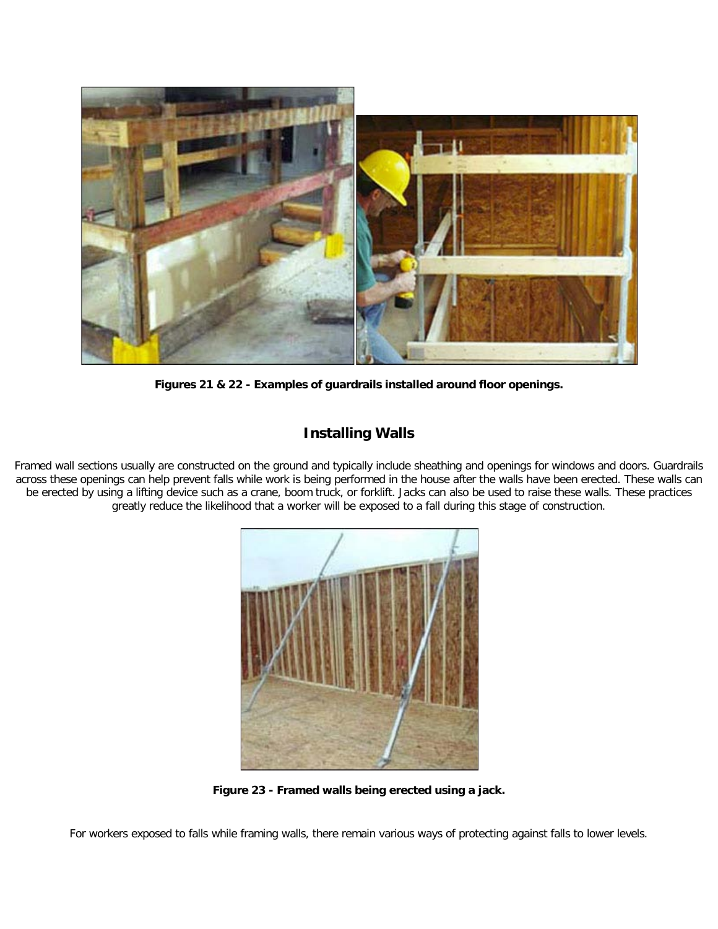![](_page_14_Picture_0.jpeg)

**Figures 21 & 22 - Examples of guardrails installed around floor openings.**

### **Installing Walls**

Framed wall sections usually are constructed on the ground and typically include sheathing and openings for windows and doors. Guardrails across these openings can help prevent falls while work is being performed in the house after the walls have been erected. These walls can be erected by using a lifting device such as a crane, boom truck, or forklift. Jacks can also be used to raise these walls. These practices greatly reduce the likelihood that a worker will be exposed to a fall during this stage of construction.

![](_page_14_Picture_4.jpeg)

**Figure 23 - Framed walls being erected using a jack.**

For workers exposed to falls while framing walls, there remain various ways of protecting against falls to lower levels.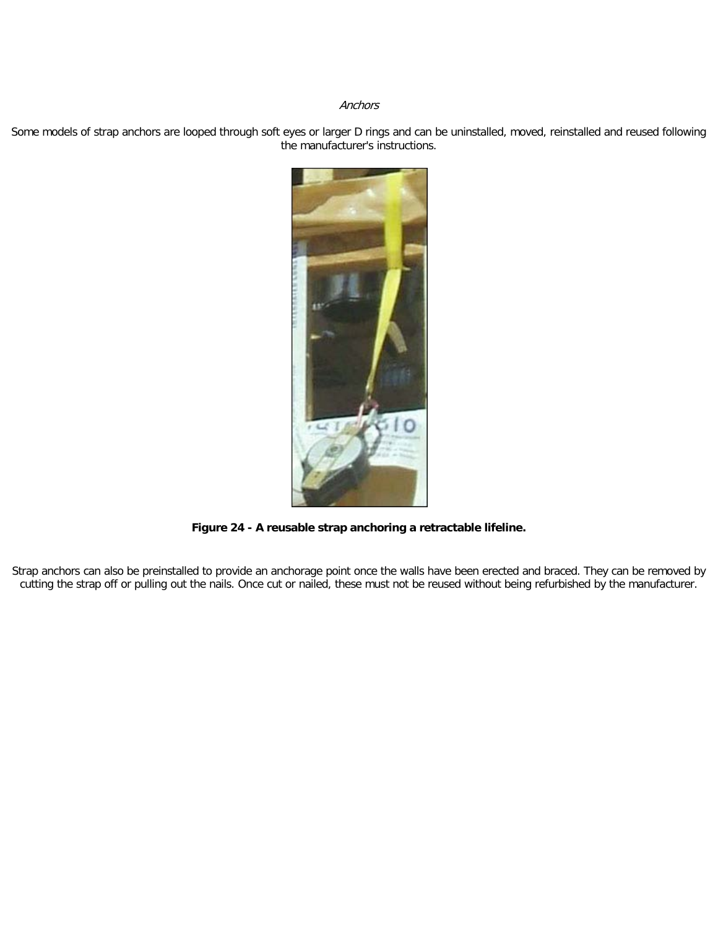#### **Anchors**

Some models of strap anchors are looped through soft eyes or larger D rings and can be uninstalled, moved, reinstalled and reused following the manufacturer's instructions.

![](_page_15_Picture_2.jpeg)

**Figure 24 - A reusable strap anchoring a retractable lifeline.**

Strap anchors can also be preinstalled to provide an anchorage point once the walls have been erected and braced. They can be removed by cutting the strap off or pulling out the nails. Once cut or nailed, these must not be reused without being refurbished by the manufacturer.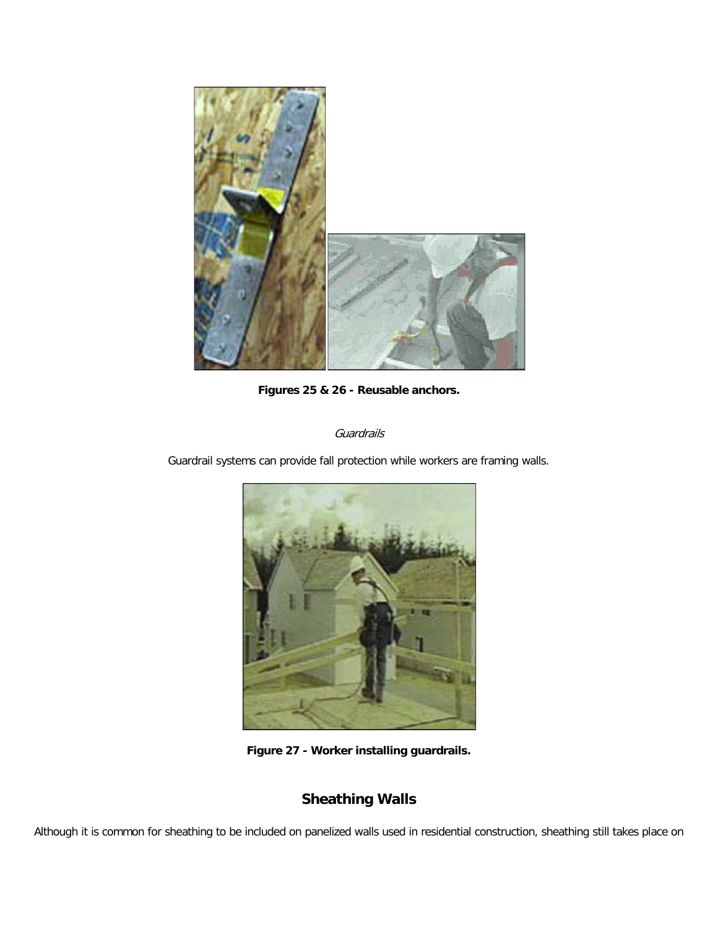![](_page_16_Picture_0.jpeg)

**Figures 25 & 26 - Reusable anchors.**

Guardrails

Guardrail systems can provide fall protection while workers are framing walls.

![](_page_16_Picture_4.jpeg)

**Figure 27 - Worker installing guardrails.**

# **Sheathing Walls**

Although it is common for sheathing to be included on panelized walls used in residential construction, sheathing still takes place on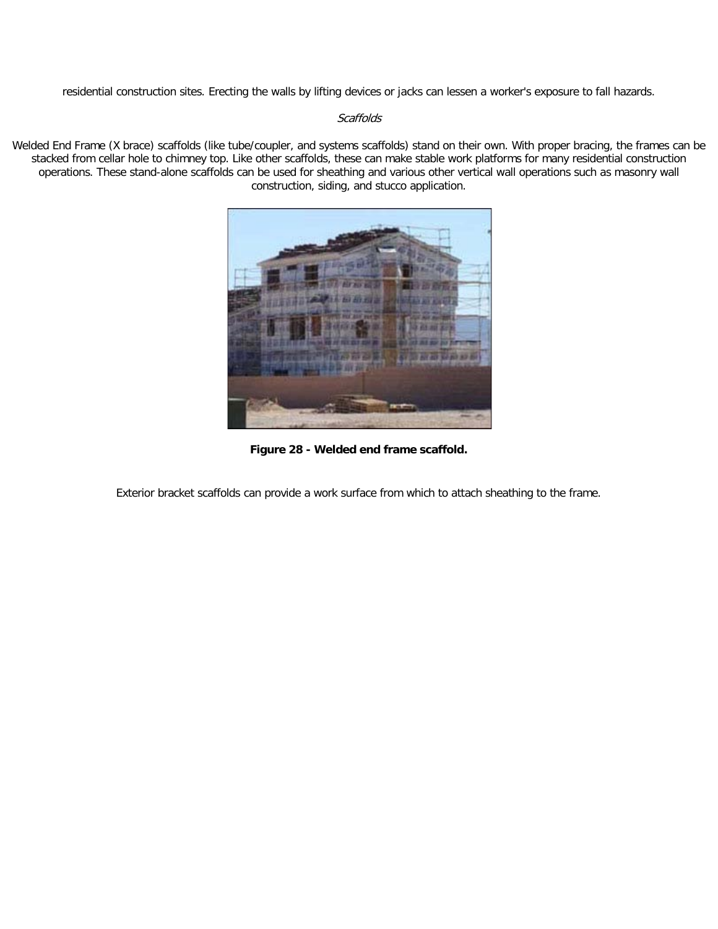residential construction sites. Erecting the walls by lifting devices or jacks can lessen a worker's exposure to fall hazards.

#### **Scaffolds**

Welded End Frame (X brace) scaffolds (like tube/coupler, and systems scaffolds) stand on their own. With proper bracing, the frames can be stacked from cellar hole to chimney top. Like other scaffolds, these can make stable work platforms for many residential construction operations. These stand-alone scaffolds can be used for sheathing and various other vertical wall operations such as masonry wall construction, siding, and stucco application.

![](_page_17_Picture_3.jpeg)

**Figure 28 - Welded end frame scaffold.**

Exterior bracket scaffolds can provide a work surface from which to attach sheathing to the frame.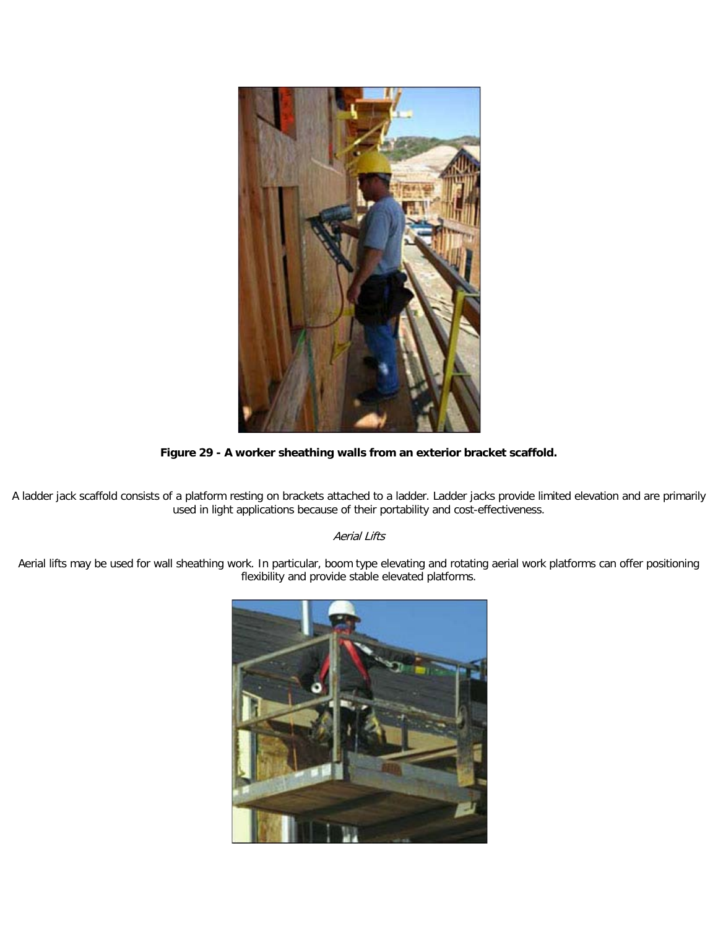![](_page_18_Picture_0.jpeg)

**Figure 29 - A worker sheathing walls from an exterior bracket scaffold.**

A ladder jack scaffold consists of a platform resting on brackets attached to a ladder. Ladder jacks provide limited elevation and are primarily used in light applications because of their portability and cost-effectiveness.

### Aerial Lifts

Aerial lifts may be used for wall sheathing work. In particular, boom type elevating and rotating aerial work platforms can offer positioning flexibility and provide stable elevated platforms.

![](_page_18_Picture_5.jpeg)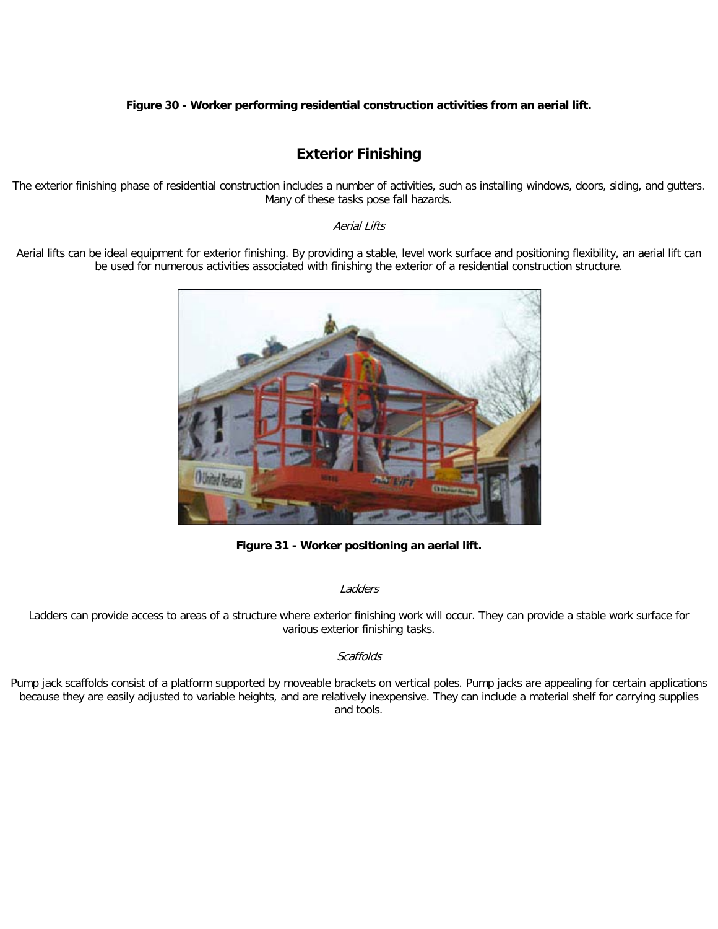#### **Figure 30 - Worker performing residential construction activities from an aerial lift.**

# **Exterior Finishing**

The exterior finishing phase of residential construction includes a number of activities, such as installing windows, doors, siding, and gutters. Many of these tasks pose fall hazards.

#### Aerial Lifts

Aerial lifts can be ideal equipment for exterior finishing. By providing a stable, level work surface and positioning flexibility, an aerial lift can be used for numerous activities associated with finishing the exterior of a residential construction structure.

![](_page_19_Picture_5.jpeg)

**Figure 31 - Worker positioning an aerial lift.**

#### Ladders

Ladders can provide access to areas of a structure where exterior finishing work will occur. They can provide a stable work surface for various exterior finishing tasks.

#### **Scaffolds**

Pump jack scaffolds consist of a platform supported by moveable brackets on vertical poles. Pump jacks are appealing for certain applications because they are easily adjusted to variable heights, and are relatively inexpensive. They can include a material shelf for carrying supplies and tools.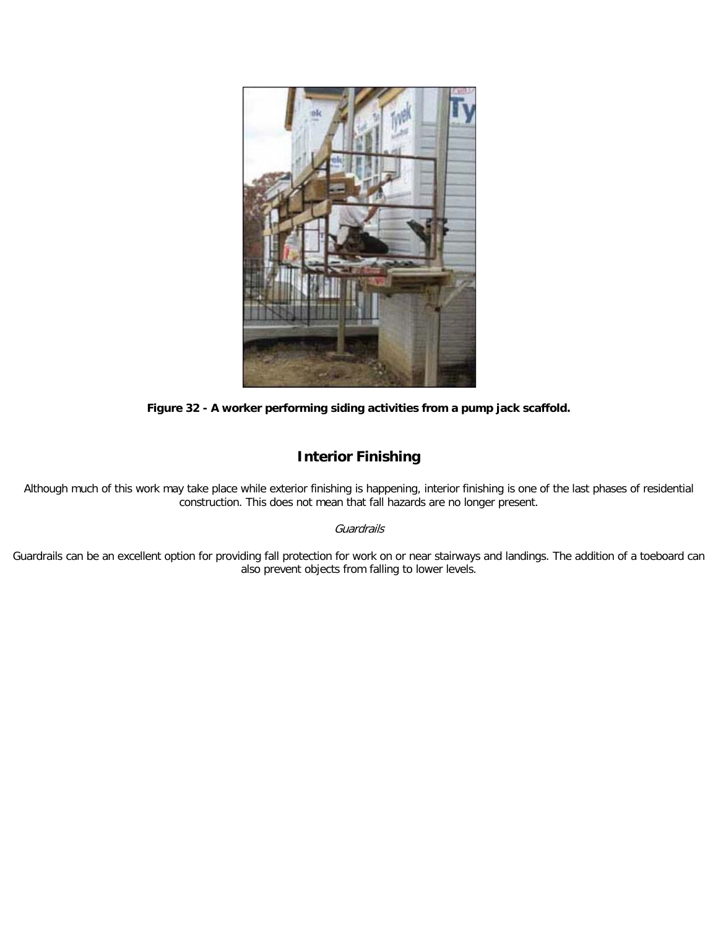![](_page_20_Picture_0.jpeg)

**Figure 32 - A worker performing siding activities from a pump jack scaffold.**

# **Interior Finishing**

Although much of this work may take place while exterior finishing is happening, interior finishing is one of the last phases of residential construction. This does not mean that fall hazards are no longer present.

### **Guardrails**

Guardrails can be an excellent option for providing fall protection for work on or near stairways and landings. The addition of a toeboard can also prevent objects from falling to lower levels.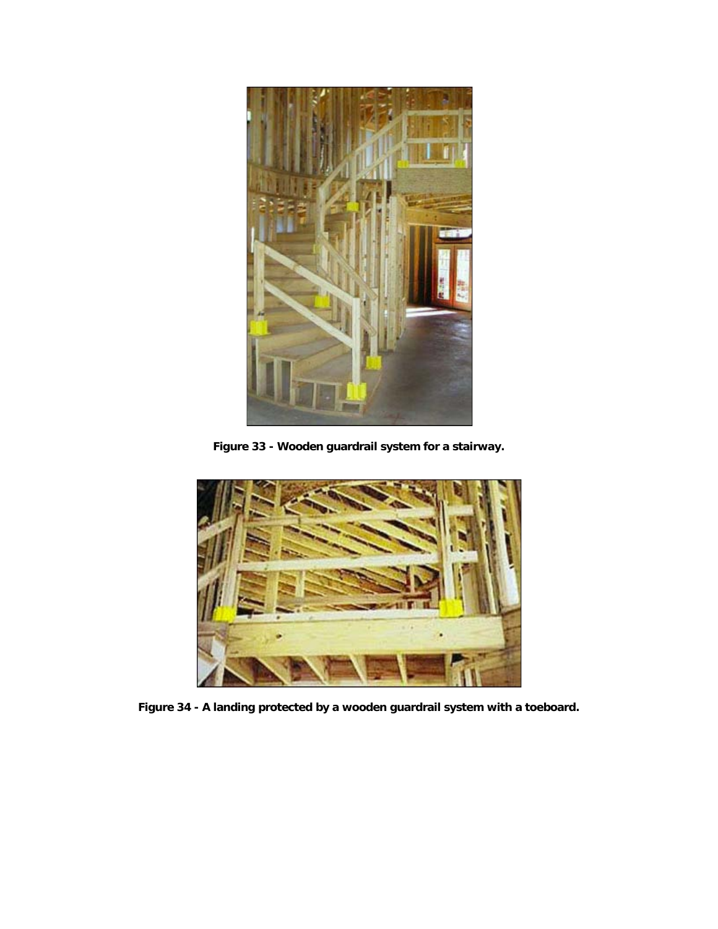![](_page_21_Picture_0.jpeg)

**Figure 33 - Wooden guardrail system for a stairway.**

![](_page_21_Picture_2.jpeg)

**Figure 34 - A landing protected by a wooden guardrail system with a toeboard.**